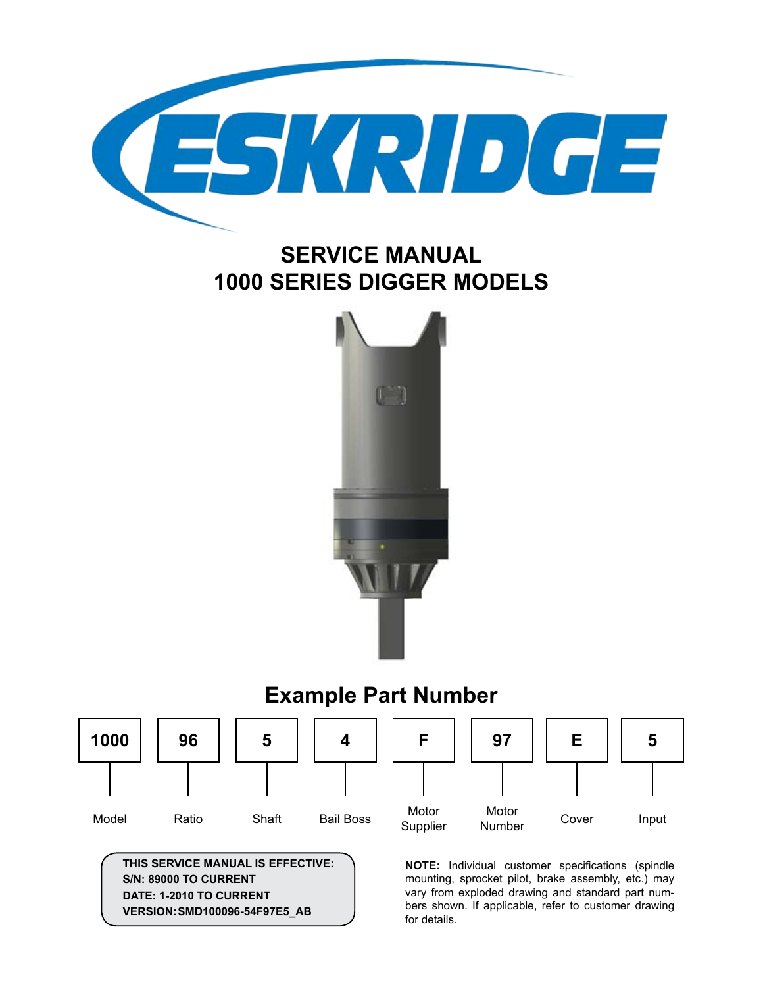

## **Service Manual 1000 Series Digger models**



#### **97** Motor Number **1000** Model **5 Shaft 4** Bail Boss **f** Motor Supplier **Example Part Number 96** Ratio **E** Cover **5** Input

**This service manual is effective: S/N: 89000 to current date: 1-2010 to CURRENT version:Smd100096-54f97e5\_ab**

**NOTE:** Individual customer specifications (spindle mounting, sprocket pilot, brake assembly, etc.) may vary from exploded drawing and standard part numbers shown. If applicable, refer to customer drawing for details.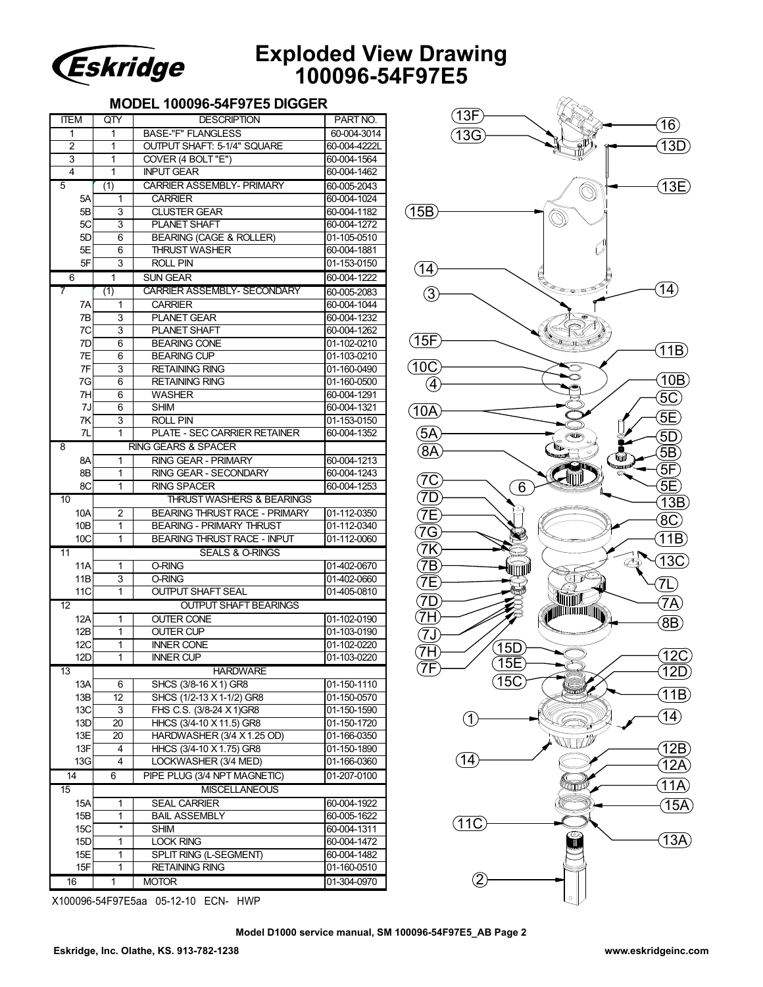

### **Exploded View Drawing 100096-54F97E5**

### **MODEL 100096-54F97E5 DIGGER**

| ITEM                                              | QTY                        | <b>DESCRIPTION</b>                   | PART NO.     |  |
|---------------------------------------------------|----------------------------|--------------------------------------|--------------|--|
| 1                                                 | 1                          | <b>BASE-"F" FLANGLESS</b>            | 60-004-3014  |  |
| 2                                                 | 1                          | OUTPUT SHAFT: 5-1/4" SQUARE          | 60-004-4222L |  |
| 3                                                 | 1                          | COVER (4 BOLT "E")                   | 60-004-1564  |  |
| 4                                                 | 1                          | <b>INPUT GEAR</b>                    | 60-004-1462  |  |
| 5                                                 | (1)                        | <b>CARRIER ASSEMBLY- PRIMARY</b>     | 60-005-2043  |  |
| 5A                                                | 1                          | <b>CARRIER</b>                       | 60-004-1024  |  |
| 5B                                                | 3                          | <b>CLUSTER GEAR</b>                  | 60-004-1182  |  |
| 5C                                                | 3                          | <b>PLANET SHAFT</b>                  | 60-004-1272  |  |
| 5D                                                | 6                          | <b>BEARING (CAGE &amp; ROLLER)</b>   | 01-105-0510  |  |
| 5E                                                | 6                          | <b>THRUST WASHER</b>                 | 60-004-1881  |  |
| 5F                                                | 3                          | <b>ROLL PIN</b>                      | 01-153-0150  |  |
| 6                                                 | 1                          | <b>SUN GEAR</b>                      | 60-004-1222  |  |
| 7                                                 | (1)                        | <b>CARRIER ASSEMBLY- SECONDARY</b>   | 60-005-2083  |  |
| 7A                                                | 1                          | <b>CARRIER</b>                       | 60-004-1044  |  |
| 7B                                                | 3                          | <b>PLANET GEAR</b>                   | 60-004-1232  |  |
| 7C                                                | 3                          | PLANET SHAFT                         | 60-004-1262  |  |
| 7D                                                | 6                          | <b>BEARING CONE</b>                  | 01-102-0210  |  |
| 7E                                                | 6                          | <b>BEARING CUP</b>                   | 01-103-0210  |  |
| 7F                                                | 3                          | <b>RETAINING RING</b>                | 01-160-0490  |  |
| 7G                                                | 6                          | <b>RETAINING RING</b>                | 01-160-0500  |  |
| 7H                                                | 6                          | <b>WASHER</b>                        | 60-004-1291  |  |
| 7J                                                | 6                          | <b>SHIM</b>                          | 60-004-1321  |  |
| 7K                                                | 3                          | <b>ROLL PIN</b>                      | 01-153-0150  |  |
| 7L                                                | 1                          | <b>PLATE - SEC CARRIER RETAINER</b>  | 60-004-1352  |  |
| 8                                                 |                            | <b>RING GEARS &amp; SPACER</b>       |              |  |
| 8A                                                | 1                          | <b>RING GEAR - PRIMARY</b>           | 60-004-1213  |  |
| 8B                                                | 1                          | RING GEAR - SECONDARY                | 60-004-1243  |  |
| 8C                                                | 1                          | <b>RING SPACER</b>                   | 60-004-1253  |  |
| 10                                                |                            | <b>THRUST WASHERS &amp; BEARINGS</b> |              |  |
| 10A                                               | 2                          | <b>BEARING THRUST RACE - PRIMARY</b> | 01-112-0350  |  |
| 10B                                               | 1                          | <b>BEARING - PRIMARY THRUST</b>      | 01-112-0340  |  |
| 10C                                               | 1                          | <b>BEARING THRUST RACE - INPUT</b>   | 01-112-0060  |  |
| 11                                                | <b>SEALS &amp; O-RINGS</b> |                                      |              |  |
| 11A                                               | 1                          | O-RING                               | 01-402-0670  |  |
| 11B                                               | 3                          | <b>O-RING</b>                        | 01-402-0660  |  |
| 11C                                               | 1                          | <b>OUTPUT SHAFT SEAL</b>             | 01-405-0810  |  |
| <b>OUTPUT SHAFT BEARINGS</b><br>$12 \overline{ }$ |                            |                                      |              |  |
| 12A                                               | 1                          | <b>OUTER CONE</b>                    | 01-102-0190  |  |
| 12B                                               | 1                          | <b>OUTER CUP</b>                     | 01-103-0190  |  |
| 12C                                               | 1                          | <b>INNER CONE</b>                    | 01-102-0220  |  |
| 12D                                               | 1                          | <b>INNER CUP</b>                     | 01-103-0220  |  |
| <b>HARDWARE</b><br>13                             |                            |                                      |              |  |
| 13A                                               | 6                          | SHCS (3/8-16 X 1) GR8                | 01-150-1110  |  |
| 13B                                               | 12                         | SHCS (1/2-13 X 1-1/2) GR8            | 01-150-0570  |  |
| 13C                                               | 3                          | FHS C.S. (3/8-24 X 1)GR8             | 01-150-1590  |  |
| 13D                                               | 20                         | HHCS (3/4-10 X 11.5) GR8             | 01-150-1720  |  |
| 13E                                               | 20                         | HARDWASHER (3/4 X 1.25 OD)           | 01-166-0350  |  |
| 13F                                               | 4                          | HHCS (3/4-10 X 1.75) GR8             | 01-150-1890  |  |
| 13G                                               | 4                          | LOCKWASHER (3/4 MED)                 | 01-166-0360  |  |
| 14                                                | 6                          | PIPE PLUG (3/4 NPT MAGNETIC)         | 01-207-0100  |  |
| <b>MISCELLANEOUS</b><br>15                        |                            |                                      |              |  |
| 15A                                               | 1                          | <b>SEAL CARRIER</b>                  | 60-004-1922  |  |
| 15B                                               | 1                          | <b>BAIL ASSEMBLY</b>                 | 60-005-1622  |  |
| 15C                                               | $\star$                    | <b>SHIM</b>                          | 60-004-1311  |  |
| 15D                                               | 1                          | <b>LOCK RING</b>                     | 60-004-1472  |  |
| 15E                                               | 1                          | SPLIT RING (L-SEGMENT)               | 60-004-1482  |  |
| 15F                                               | 1                          | <b>RETAINING RING</b>                | 01-160-0510  |  |
| 16                                                | $\overline{1}$             | <b>MOTOR</b>                         | 01-304-0970  |  |
|                                                   |                            |                                      |              |  |



X100096-54F97E5aa 05-12-10 ECN- HWP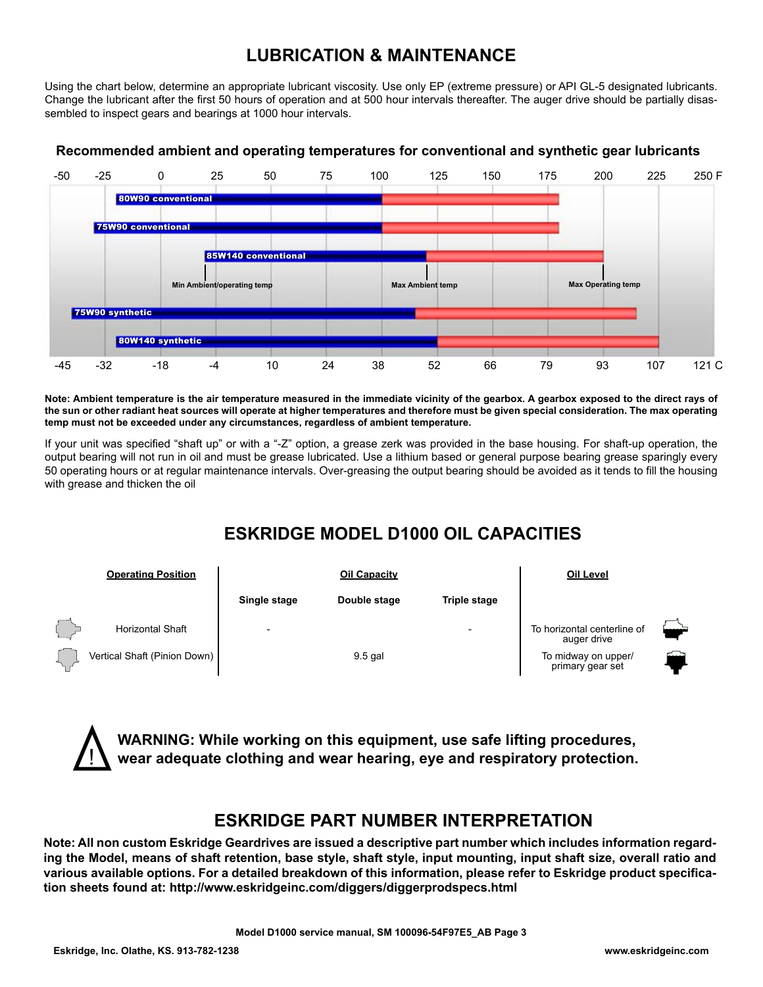### **Lubrication & Maintenance**

Using the chart below, determine an appropriate lubricant viscosity. Use only EP (extreme pressure) or API GL-5 designated lubricants. Change the lubricant after the first 50 hours of operation and at 500 hour intervals thereafter. The auger drive should be partially disassembled to inspect gears and bearings at 1000 hour intervals.



### **Recommended ambient and operating temperatures for conventional and synthetic gear lubricants**

**Note: Ambient temperature is the air temperature measured in the immediate vicinity of the gearbox. A gearbox exposed to the direct rays of the sun or other radiant heat sources will operate at higher temperatures and therefore must be given special consideration. The max operating temp must not be exceeded under any circumstances, regardless of ambient temperature.**

If your unit was specified "shaft up" or with a "-Z" option, a grease zerk was provided in the base housing. For shaft-up operation, the output bearing will not run in oil and must be grease lubricated. Use a lithium based or general purpose bearing grease sparingly every 50 operating hours or at regular maintenance intervals. Over-greasing the output bearing should be avoided as it tends to fill the housing with grease and thicken the oil

### **ESKRIDGE MODEL D1000 OIL CAPACITIES**



**WARNING: While working on this equipment, use safe lifting procedures, wear adequate clothing and wear hearing, eye and respiratory protection.**

### **ESKRIDGE PART NUMBER INTERPRETATION**

**Note: All non custom Eskridge Geardrives are issued a descriptive part number which includes information regarding the Model, means of shaft retention, base style, shaft style, input mounting, input shaft size, overall ratio and various available options. For a detailed breakdown of this information, please refer to Eskridge product specification sheets found at: http://www.eskridgeinc.com/diggers/diggerprodspecs.html**

!<br>!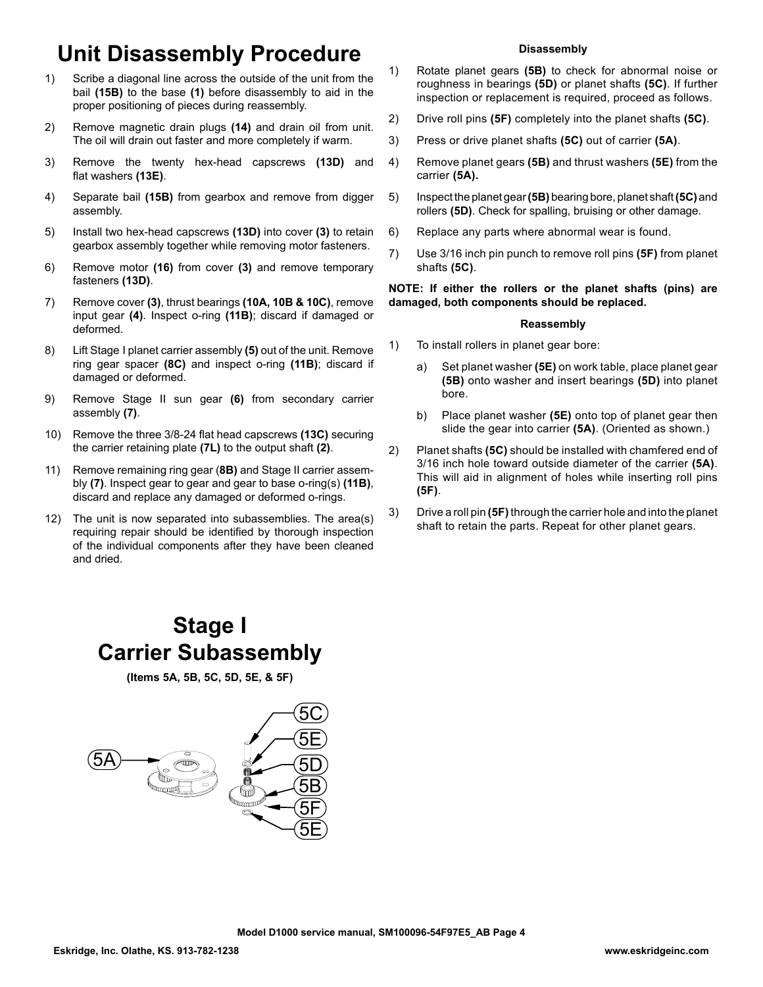# **Unit Disassembly Procedure**

- 1) Scribe a diagonal line across the outside of the unit from the bail **(15B)** to the base **(1)** before disassembly to aid in the proper positioning of pieces during reassembly.
- 2) Remove magnetic drain plugs **(14)** and drain oil from unit. The oil will drain out faster and more completely if warm.
- 3) Remove the twenty hex-head capscrews **(13D)** and flat washers **(13E)**.
- 4) Separate bail **(15B)** from gearbox and remove from digger assembly.
- 5) Install two hex-head capscrews **(13D)** into cover **(3)** to retain gearbox assembly together while removing motor fasteners.
- 6) Remove motor **(16)** from cover **(3)** and remove temporary fasteners **(13D)**.
- 7) Remove cover **(3)**, thrust bearings **(10A, 10B & 10C)**, remove input gear **(4)**. Inspect o-ring **(11B)**; discard if damaged or deformed.
- 8) Lift Stage I planet carrier assembly **(5)** out of the unit. Remove ring gear spacer **(8C)** and inspect o-ring **(11B)**; discard if damaged or deformed.
- 9) Remove Stage II sun gear **(6)** from secondary carrier assembly **(7)**.
- 10) Remove the three 3/8-24 flat head capscrews **(13C)** securing the carrier retaining plate **(7L)** to the output shaft **(2)**.
- 11) Remove remaining ring gear (**8B)** and Stage II carrier assembly **(7)**. Inspect gear to gear and gear to base o-ring(s) **(11B)**, discard and replace any damaged or deformed o-rings.
- 12) The unit is now separated into subassemblies. The area(s) requiring repair should be identified by thorough inspection of the individual components after they have been cleaned and dried.

### **Disassembly**

- 1) Rotate planet gears **(5B)** to check for abnormal noise or roughness in bearings **(5D)** or planet shafts **(5C)**. If further inspection or replacement is required, proceed as follows.
- 2) Drive roll pins **(5F)** completely into the planet shafts **(5C)**.
- 3) Press or drive planet shafts **(5C)** out of carrier **(5A)**.
- 4) Remove planet gears **(5B)** and thrust washers **(5E)** from the carrier **(5A).**
- 5) Inspect the planet gear **(5B)** bearing bore, planet shaft **(5C)** and rollers **(5D)**. Check for spalling, bruising or other damage.
- 6) Replace any parts where abnormal wear is found.
- 7) Use 3/16 inch pin punch to remove roll pins **(5F)** from planet shafts **(5C)**.

### **NOTE: If either the rollers or the planet shafts (pins) are damaged, both components should be replaced.**

#### **Reassembly**

- 1) To install rollers in planet gear bore:
	- a) Set planet washer **(5E)** on work table, place planet gear **(5B)** onto washer and insert bearings **(5D)** into planet bore.
	- b) Place planet washer **(5E)** onto top of planet gear then slide the gear into carrier **(5A)**. (Oriented as shown.)
- 2) Planet shafts **(5C)** should be installed with chamfered end of 3/16 inch hole toward outside diameter of the carrier **(5A)**. This will aid in alignment of holes while inserting roll pins **(5F)**.
- 3) Drive a roll pin **(5F)** through the carrier hole and into the planet shaft to retain the parts. Repeat for other planet gears.

## **Stage I Carrier Subassembly**

**(Items 5A, 5B, 5C, 5D, 5E, & 5F)**

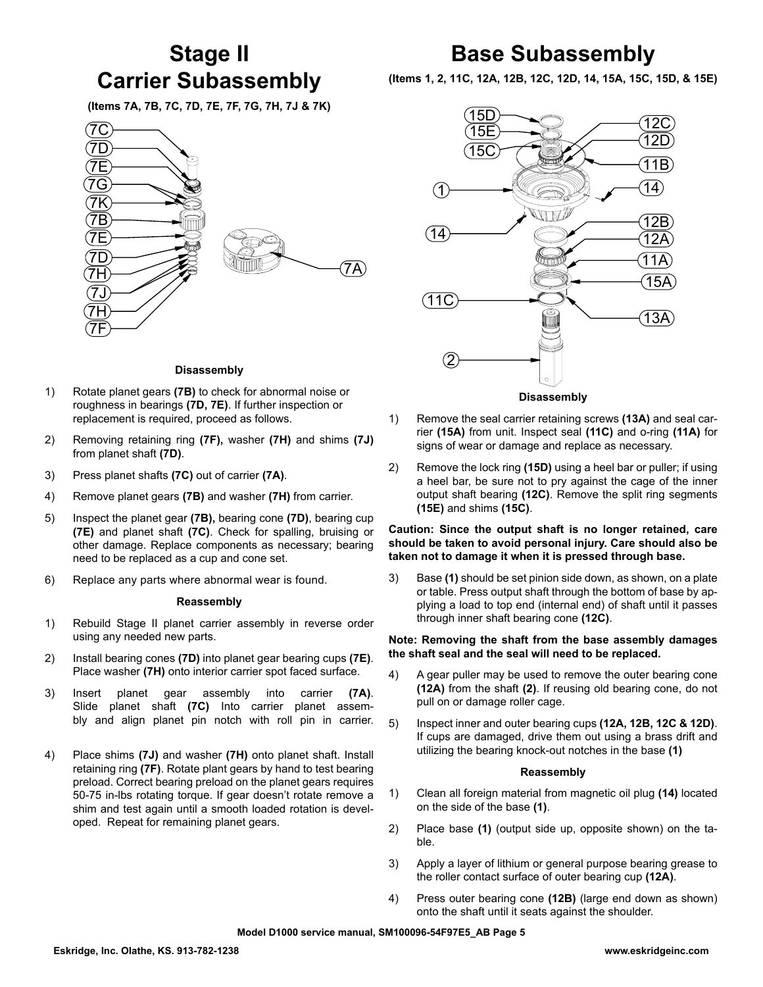## **Stage II Carrier Subassembly**

**(Items 7A, 7B, 7C, 7D, 7E, 7F, 7G, 7H, 7J & 7K)**



### **Disassembly**

- 1) Rotate planet gears **(7B)** to check for abnormal noise or roughness in bearings **(7D, 7E)**. If further inspection or replacement is required, proceed as follows.
- 2) Removing retaining ring **(7F),** washer **(7H)** and shims **(7J)**  from planet shaft **(7D)**.
- 3) Press planet shafts **(7C)** out of carrier **(7A)**.
- 4) Remove planet gears **(7B)** and washer **(7H)** from carrier.
- 5) Inspect the planet gear **(7B),** bearing cone **(7D)**, bearing cup **(7E)** and planet shaft **(7C)**. Check for spalling, bruising or other damage. Replace components as necessary; bearing need to be replaced as a cup and cone set.
- 6) Replace any parts where abnormal wear is found.

#### **Reassembly**

- 1) Rebuild Stage II planet carrier assembly in reverse order using any needed new parts.
- 2) Install bearing cones **(7D)** into planet gear bearing cups **(7E)**. Place washer **(7H)** onto interior carrier spot faced surface.
- 3) Insert planet gear assembly into carrier **(7A)**. Slide planet shaft **(7C)** Into carrier planet assembly and align planet pin notch with roll pin in carrier.
- 4) Place shims **(7J)** and washer **(7H)** onto planet shaft. Install retaining ring **(7F)**. Rotate plant gears by hand to test bearing preload. Correct bearing preload on the planet gears requires 50-75 in-lbs rotating torque. If gear doesn't rotate remove a shim and test again until a smooth loaded rotation is developed. Repeat for remaining planet gears.

## **Base Subassembly**

**(Items 1, 2, 11C, 12A, 12B, 12C, 12D, 14, 15A, 15C, 15D, & 15E)**



- 1) Remove the seal carrier retaining screws **(13A)** and seal carrier **(15A)** from unit. Inspect seal **(11C)** and o-ring **(11A)** for signs of wear or damage and replace as necessary.
- 2) Remove the lock ring **(15D)** using a heel bar or puller; if using a heel bar, be sure not to pry against the cage of the inner output shaft bearing **(12C)**. Remove the split ring segments **(15E)** and shims **(15C)**.

### **Caution: Since the output shaft is no longer retained, care should be taken to avoid personal injury. Care should also be taken not to damage it when it is pressed through base.**

3) Base **(1)** should be set pinion side down, as shown, on a plate or table. Press output shaft through the bottom of base by applying a load to top end (internal end) of shaft until it passes through inner shaft bearing cone **(12C)**.

#### **Note: Removing the shaft from the base assembly damages the shaft seal and the seal will need to be replaced.**

- 4) A gear puller may be used to remove the outer bearing cone **(12A)** from the shaft **(2)**. If reusing old bearing cone, do not pull on or damage roller cage.
- 5) Inspect inner and outer bearing cups **(12A, 12B, 12C & 12D)**. If cups are damaged, drive them out using a brass drift and utilizing the bearing knock-out notches in the base **(1)**

#### **Reassembly**

- 1) Clean all foreign material from magnetic oil plug **(14)** located on the side of the base **(1)**.
- 2) Place base **(1)** (output side up, opposite shown) on the table.
- 3) Apply a layer of lithium or general purpose bearing grease to the roller contact surface of outer bearing cup **(12A)**.
- 4) Press outer bearing cone **(12B)** (large end down as shown) onto the shaft until it seats against the shoulder.